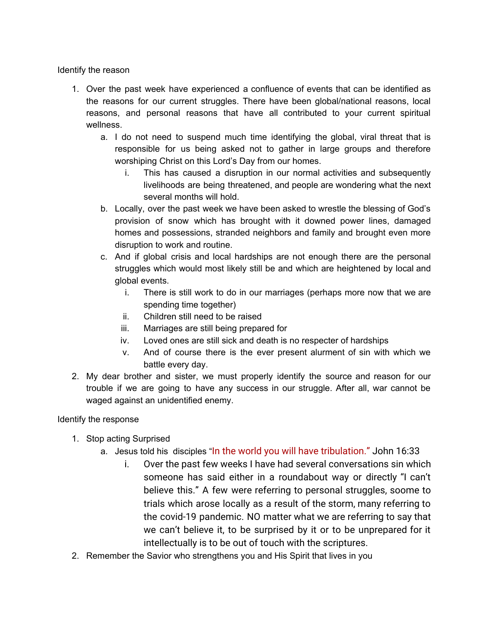Identify the reason

- 1. Over the past week have experienced a confluence of events that can be identified as the reasons for our current struggles. There have been global/national reasons, local reasons, and personal reasons that have all contributed to your current spiritual wellness.
	- a. I do not need to suspend much time identifying the global, viral threat that is responsible for us being asked not to gather in large groups and therefore worshiping Christ on this Lord's Day from our homes.
		- i. This has caused a disruption in our normal activities and subsequently livelihoods are being threatened, and people are wondering what the next several months will hold.
	- b. Locally, over the past week we have been asked to wrestle the blessing of God's provision of snow which has brought with it downed power lines, damaged homes and possessions, stranded neighbors and family and brought even more disruption to work and routine.
	- c. And if global crisis and local hardships are not enough there are the personal struggles which would most likely still be and which are heightened by local and global events.
		- i. There is still work to do in our marriages (perhaps more now that we are spending time together)
		- ii. Children still need to be raised
		- iii. Marriages are still being prepared for
		- iv. Loved ones are still sick and death is no respecter of hardships
		- v. And of course there is the ever present alurment of sin with which we battle every day.
- 2. My dear brother and sister, we must properly identify the source and reason for our trouble if we are going to have any success in our struggle. After all, war cannot be waged against an unidentified enemy.

Identify the response

- 1. Stop acting Surprised
	- a. Jesus told his disciples "In the world you will have tribulation." John 16:33
		- i. Over the past few weeks I have had several conversations sin which someone has said either in a roundabout way or directly "I can't believe this." A few were referring to personal struggles, soome to trials which arose locally as a result of the storm, many referring to the covid-19 pandemic. NO matter what we are referring to say that we can't believe it, to be surprised by it or to be unprepared for it intellectually is to be out of touch with the scriptures.
- 2. Remember the Savior who strengthens you and His Spirit that lives in you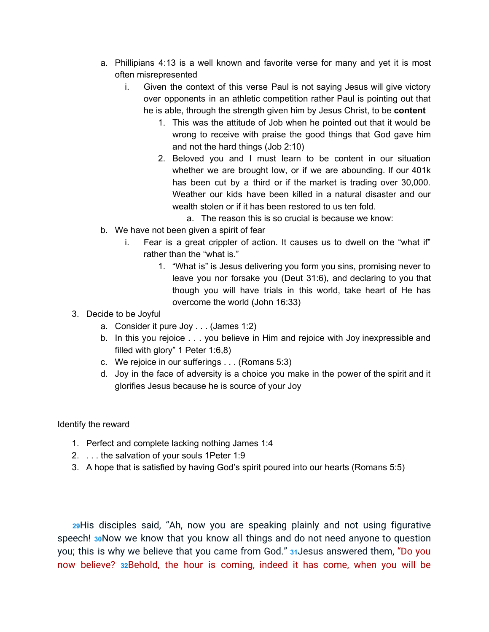- a. Phillipians 4:13 is a well known and favorite verse for many and yet it is most often misrepresented
	- i. Given the context of this verse Paul is not saying Jesus will give victory over opponents in an athletic competition rather Paul is pointing out that he is able, through the strength given him by Jesus Christ, to be **content**
		- 1. This was the attitude of Job when he pointed out that it would be wrong to receive with praise the good things that God gave him and not the hard things (Job 2:10)
		- 2. Beloved you and I must learn to be content in our situation whether we are brought low, or if we are abounding. If our 401k has been cut by a third or if the market is trading over 30,000. Weather our kids have been killed in a natural disaster and our wealth stolen or if it has been restored to us ten fold.
			- a. The reason this is so crucial is because we know:
- b. We have not been given a spirit of fear
	- i. Fear is a great crippler of action. It causes us to dwell on the "what if" rather than the "what is."
		- 1. "What is" is Jesus delivering you form you sins, promising never to leave you nor forsake you (Deut 31:6), and declaring to you that though you will have trials in this world, take heart of He has overcome the world (John 16:33)
- 3. Decide to be Joyful
	- a. Consider it pure Joy . . . (James 1:2)
	- b. In this you rejoice . . . you believe in Him and rejoice with Joy inexpressible and filled with glory" 1 Peter 1:6,8)
	- c. We rejoice in our sufferings . . . (Romans 5:3)
	- d. Joy in the face of adversity is a choice you make in the power of the spirit and it glorifies Jesus because he is source of your Joy

Identify the reward

- 1. Perfect and complete lacking nothing James 1:4
- 2. . . . the salvation of your souls 1Peter 1:9
- 3. A hope that is satisfied by having God's spirit poured into our hearts (Romans 5:5)

**[29](http://biblehub.com/john/16-29.htm)**His disciples said, "Ah, now you are speaking plainly and not using figurative speech! **[30](http://biblehub.com/john/16-30.htm)**Now we know that you know all things and do not need anyone to question you; this is why we believe that you came from God." **[31](http://biblehub.com/john/16-31.htm)**Jesus answered them, "Do you now believe? **[32](http://biblehub.com/john/16-32.htm)**Behold, the hour is coming, indeed it has come, when you will be